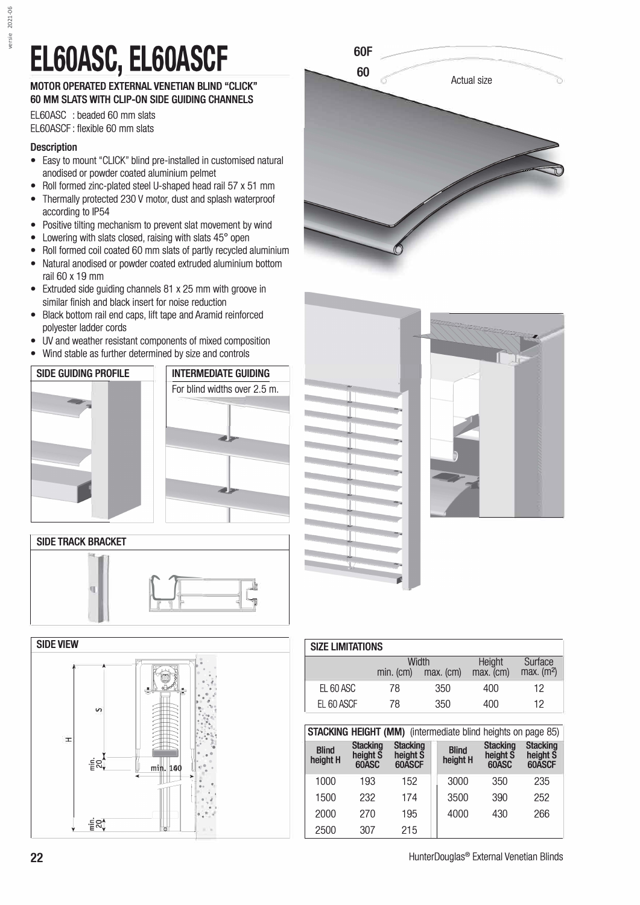## EL60ASC, EL60ASCF

## **MOTOR OPERATED EXTERNAL VENETIAN BLIND "CLICK" 60 MM SLATS WITH CLIP-ON SIDE GUIDING CHANNELS**

EL60ASC : beaded 60 mm slats EL60ASCF: flexible 60 mm slats

## **Description**

- Easy to mount "CLICK" blind pre-installed in customised natural anodised or powder coated aluminium pelmet
- Roll formed zinc-plated steel U-shaped head rail 57 x 51 mm
- Thermally protected 230 V motor, dust and splash waterproof according to IP54
- Positive tilting mechanism to prevent slat movement by wind
- Lowering with slats closed, raising with slats 45° open
- Roll formed coil coated 60 mm slats of partly recycled aluminium
- Natural anodised or powder coated extruded aluminium bottom rail 60 x 19 mm
- Extruded side guiding channels 81 x 25 mm with groove in similar finish and black insert for noise reduction
- Black bottom rail end caps, lift tape and Aramid reinforced polyester ladder cords
- UV and weather resistant components of mixed composition
- Wind stable as further determined by size and controls















| <b>SIZE LIMITATIONS</b> |           |                      |                     |                                     |  |  |  |  |  |
|-------------------------|-----------|----------------------|---------------------|-------------------------------------|--|--|--|--|--|
|                         | min. (cm) | Width<br>$max.$ (cm) | Height<br>max. (cm) | Surface<br>$max.$ (m <sup>2</sup> ) |  |  |  |  |  |
| FL 60 ASC               | 78        | 350                  | 400                 | 12                                  |  |  |  |  |  |
| FL 60 ASCF              | 78        | 350                  | 400                 | 12                                  |  |  |  |  |  |

**STACKING HEIGHT (MM)** (intermediate blind heights on page 85)

| <b>Blind</b><br>height H | <b>Stacking</b><br>height S<br>60ASC | <b>Stacking</b><br>height S<br>60ASCF | <b>Blind</b><br>height H | <b>Stacking</b><br>height S<br>60ASC | <b>Stacking</b><br>height S<br>60ASCF |
|--------------------------|--------------------------------------|---------------------------------------|--------------------------|--------------------------------------|---------------------------------------|
| 1000                     | 193                                  | 152                                   | 3000                     | 350                                  | 235                                   |
| 1500                     | 232                                  | 174                                   | 3500                     | 390                                  | 252                                   |
| 2000                     | 270                                  | 195                                   | 4000                     | 430                                  | 266                                   |
| 2500                     | 307                                  | 215                                   |                          |                                      |                                       |